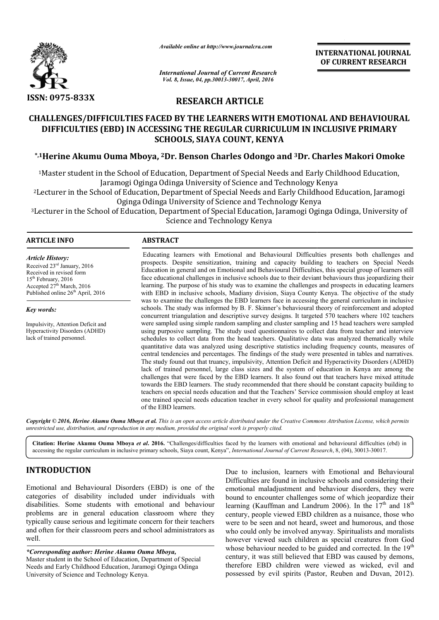

*Available online at http://www.journalcra.com*

**INTERNATIONAL JOURNAL OF CURRENT RESEARCH** 

*International Journal of Current Research Vol. 8, Issue, 04, pp.30013-30017, April, 2016*

# **RESEARCH ARTICLE**

# **CHALLENGES/DIFFICULTIES FACED BY THE LEARNERS WITH EMOTIONAL AND BEHAVIOURAL DIFFICULTIES (EBD) IN ACCESSING THE REGULAR CURRICULUM IN INCLUSIVE PRIMARY SCHOOLS, SIAYA COUNT, KENYA**

# \*,1Herine Akumu Ouma Mboya, <sup>2</sup>Dr. Benson Charles Odongo and <sup>3</sup>Dr. Charles Makori Omoke

<sup>1</sup>Master student in the School of Education, Department of Special Needs and Early Childhood Education,<br>Jaramogi Oginga Odinga University of Science and Technology Kenya Jaramogi Oginga Odinga University of Science and Technology Kenya

2Lecturer in the School of Education, Department of Special Needs and Early Childhood Education, Jaramogi Oginga Odinga University of Science and Technology Kenya <sup>1</sup>Master student in the School of Education, Department of Special Needs and Early Childhood Education, Jaramogi Oginga Odinga University of Science and Technology Kenya<br><sup>2</sup>Lecturer in the School of Education, Department

Science and Technology Kenya

 $\overline{a}$ 

## **ARTICLE INFO ABSTRACT**

*Article History:* Received 23rd January, 2016 Received in revised form 15<sup>th</sup> February, 2016 Accepted 27<sup>th</sup> March, 2016 Published online 26<sup>th</sup> April, 2016

*Key words:*

Impulsivity, Attention Deficit and Hyperactivity Disorders (ADHD) lack of trained personnel.

Educating learners with Emotional and Behavioural Difficulties presents both challenges and prospects. Despite sensitization, training and capacity building to teachers on Special Needs Education in general and on Emotional and Behavioural Difficulties, this special group of learners still face educational challenges in inclusive schools due to their deviant behaviours thus jeopardizing their learning. The purpose of his study was to examine the challenges and prospects in educating learners with EBD in inclusive schools, Madiany division, Siaya County Kenya. The objective of the study was to examine the challenges the EBD learners face in accessing the general curriculum in inclusive schools. The study was informed by B. F. Skinner's behavioural theory of reinforcement and adopted concurrent triangulation and descriptive survey designs. It targeted 570 teachers where 102 teachers were sampled using simple random sampling and cluster sampling and 15 head teachers were sampled using purposive sampling. The study used questionnaires to collect data from teacher and interview schedules to collect data from the head teachers. Qualitative data was analyzed thematically while quantitative data was analyzed using descriptive statistics including frequency counts, measures of central tendencies and percentages. The findings of the study were presented in tables and narratives. The study found out that truancy, impulsivity, Attention Deficit and Hyperactivity Disorders (ADHD) lack of trained personnel, large class sizes and the system of education in Kenya are among the challenges that were faced by the EBD learners. It also found out that teachers have mixed attitude towards the EBD learners. The study recommended that there should be constant capacity building to teachers on special needs education and that the Teachers' Service commission should employ at least one trained special needs education teacher in every school for quality and professional management of the EBD learners. Education is easent team in teachers and Behavioural Difficulties presents both challenges and prospects. Despite sensitization, training and capacity building to teachers on Special Needs Education in general and on Emoti was to examine the challenges the EBD learners face in accessing the general curriculum in inclusive schools. The study was informed by B. F. Skinner's behavioural theory of reinforcement and adopted concurrent triangulati schedules to collect data from the head teachers. Qualitative data was analyzed thematically while quantitative data was analyzed using descriptive statistics including frequency counts, measures of central tendencies and challenges that were faced by the EBD learners. It also found out that teachers have mixed attitude towards the EBD learners. The study recommended that there should be constant capacity building to teachers on special nee **EXERCTI THE SECT THE SECT THE SECT THE SECT THE SECT THE SECT THE SECT THE END (VANAL THE SET THE SET THE SET THE SET THE END OT TOUT AND BEHAVIOURAL RRICULUM IN INCLUSIVE PRIMARY<br>
EFT THE ENOTTONAL AND BEHAVIOURAL RRICU** 

Copyright © 2016, Herine Akumu Ouma Mboya et al. This is an open access article distributed under the Creative Commons Attribution License, which permits *unrestricted use, distribution, and reproduction in any medium, provided the original work is properly cited.*

**Citation: Herine Akumu Ouma Mboya** *et al***. 2016.** "Challenges/difficulties faced by the learners with emotional and behavioural difficulties (ebd) in Citation: Herine Akumu Ouma Mboya et al. 2016. "Challenges/difficulties faced by the learners with emotional and behavioural difficulties accessing the regular curriculum in inclusive primary schools, Siaya count, Kenya",

# **INTRODUCTION**

Emotional and Behavioural Disorders (EBD) is one of the categories of disability included under individuals with disabilities. Some students with emotional and behaviour problems are in general education classroom where they typically cause serious and legitimate concern for their teachers and often for their classroom peers and school administrators as well.

*\*Corresponding author: Herine Akumu Ouma Mboya Mboya,* Master student in the School of Education, Department of Special Needs and Early Childhood Education, Jaramogi Oginga Odinga University of Science and Technology Kenya.

Due to inclusion, learners with Emotional and Behavioural Difficulties are found in inclusive schools and considering their emotional maladjustment and behaviour disorders, they were bound to encounter challenges some of which jeopardize their Difficulties are found in inclusive schools and considering their emotional maladjustment and behaviour disorders, they were bound to encounter challenges some of which jeopardize their learning (Kauffman and Landrum 2006 century, people viewed EBD children as a nuisance, those who were to be seen and not heard, sweet and humorous, and those who could only be involved anyway. Spiritualists and moralists however viewed such children as special creatures from God whose behaviour needed to be guided and corrected. In the 19<sup>th</sup> century, it was still believed that EBD was caused by demons, therefore EBD children were viewed as wicked, evil and possessed by evil spirits (Pastor, Reuben and Duvan, 2012). to be seen and not heard, sweet and humorous, and those could only be involved anyway. Spiritualists and moralists ver viewed such children as special creatures from God e behaviour needed to be guided and corrected. In th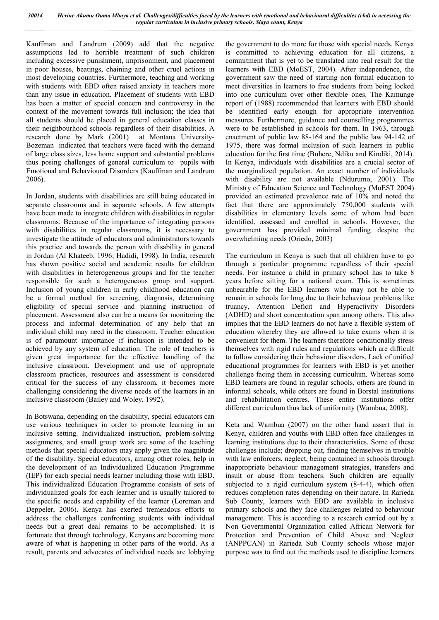Kauffman and Landrum (2009) add that the negative assumptions led to horrible treatment of such children including excessive punishment, imprisonment, and placement in poor houses, beatings, chaining and other cruel actions in most developing countries. Furthermore, teaching and working with students with EBD often raised anxiety in teachers more than any issue in education. Placement of students with EBD has been a matter of special concern and controversy in the context of the movement towards full inclusion; the idea that all students should be placed in general education classes in their neighbourhood schools regardless of their disabilities. A research done by Mark (2001) at Montana University-Bozeman indicated that teachers were faced with the demand of large class sizes, less home support and substantial problems thus posing challenges of general curriculum to pupils with Emotional and Behavioural Disorders (Kauffman and Landrum 2006).

In Jordan, students with disabilities are still being educated in separate classrooms and in separate schools. A few attempts have been made to integrate children with disabilities in regular classrooms. Because of the importance of integrating persons with disabilities in regular classrooms, it is necessary to investigate the attitude of educators and administrators towards this practice and towards the person with disability in general in Jordan (Al Khateeb, 1996; Hadidi, 1998). In India, research has shown positive social and academic results for children with disabilities in heterogeneous groups and for the teacher responsible for such a heterogeneous group and support. Inclusion of young children in early childhood education can be a formal method for screening, diagnosis, determining eligibility of special service and planning instruction of placement. Assessment also can be a means for monitoring the process and informal determination of any help that an individual child may need in the classroom. Teacher education is of paramount importance if inclusion is intended to be achieved by any system of education. The role of teachers is given great importance for the effective handling of the inclusive classroom. Development and use of appropriate classroom practices, resources and assessment is considered critical for the success of any classroom, it becomes more challenging considering the diverse needs of the learners in an inclusive classroom (Bailey and Woley, 1992).

In Botswana, depending on the disability, special educators can use various techniques in order to promote learning in an inclusive setting. Individualized instruction, problem-solving assignments, and small group work are some of the teaching methods that special educators may apply given the magnitude of the disability. Special educators, among other roles, help in the development of an Individualized Education Programme (IEP) for each special needs learner including those with EBD. This individualized Education Programme consists of sets of individualized goals for each learner and is usually tailored to the specific needs and capability of the learner (Loreman and Deppeler, 2006). Kenya has exerted tremendous efforts to address the challenges confronting students with individual needs but a great deal remains to be accomplished. It is fortunate that through technology, Kenyans are becoming more aware of what is happening in other parts of the world. As a result, parents and advocates of individual needs are lobbying the government to do more for those with special needs. Kenya is committed to achieving education for all citizens, a commitment that is yet to be translated into real result for the learners with EBD (MoEST, 2004). After independence, the government saw the need of starting non formal education to meet diversities in learners to free students from being locked into one curriculum over other flexible ones. The Kamunge report of (1988) recommended that learners with EBD should be identified early enough for appropriate intervention measures. Furthermore, guidance and counselling programmes were to be established in schools for them. In 1963, through enactment of public law 88-164 and the public law 94-142 of 1975, there was formal inclusion of such learners in public education for the first time (Buhere, Ndiku and Kindiki, 2014). In Kenya, individuals with disabilities are a crucial sector of the marginalized population. An exact number of individuals with disability are not available (Ndurumo, 2001). The Ministry of Education Science and Technology (MoEST 2004) provided an estimated prevalence rate of 10% and noted the fact that there are approximately 750,000 students with disabilities in elementary levels some of whom had been identified, assessed and enrolled in schools. However, the government has provided minimal funding despite the overwhelming needs (Oriedo, 2003)

The curriculum in Kenya is such that all children have to go through a particular programme regardless of their special needs. For instance a child in primary school has to take 8 years before sitting for a national exam. This is sometimes unbearable for the EBD learners who may not be able to remain in schools for long due to their behaviour problems like truancy, Attention Deficit and Hyperactivity Disorders (ADHD) and short concentration span among others. This also implies that the EBD learners do not have a flexible system of education whereby they are allowed to take exams when it is convenient for them. The learners therefore conditionally stress themselves with rigid rules and regulations which are difficult to follow considering their behaviour disorders. Lack of unified educational programmes for learners with EBD is yet another challenge facing them in accessing curriculum. Whereas some EBD learners are found in regular schools, others are found in informal schools, while others are found in Borstal institutions and rehabilitation centres. These entire institutions offer different curriculum thus lack of uniformity (Wambua, 2008).

Keta and Wambua (2007) on the other hand assert that in Kenya, children and youths with EBD often face challenges in learning institutions due to their characteristics. Some of these challenges include; dropping out, finding themselves in trouble with law enforcers, neglect, being contained in schools through inappropriate behaviour management strategies, transfers and insult or abuse from teachers. Such children are equally subjected to a rigid curriculum system (8-4-4), which often reduces completion rates depending on their nature. In Rarieda Sub County, learners with EBD are available in inclusive primary schools and they face challenges related to behaviour management. This is according to a research carried out by a Non Governmental Organization called African Network for Protection and Prevention of Child Abuse and Neglect (ANPPCAN) in Rarieda Sub County schools whose major purpose was to find out the methods used to discipline learners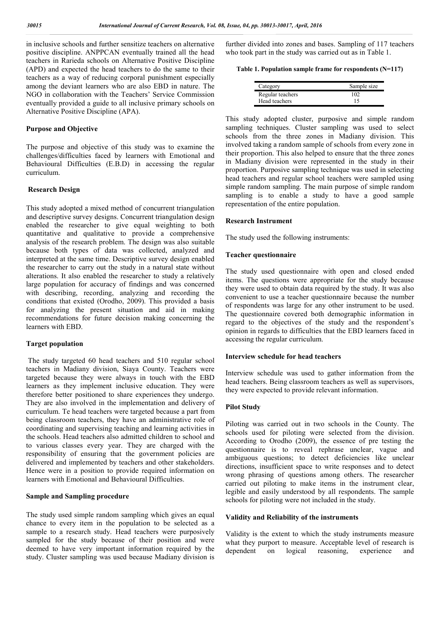in inclusive schools and further sensitize teachers on alternative positive discipline. ANPPCAN eventually trained all the head teachers in Rarieda schools on Alternative Positive Discipline (APD) and expected the head teachers to do the same to their teachers as a way of reducing corporal punishment especially among the deviant learners who are also EBD in nature. The NGO in collaboration with the Teachers' Service Commission eventually provided a guide to all inclusive primary schools on Alternative Positive Discipline (APA).

### **Purpose and Objective**

The purpose and objective of this study was to examine the challenges/difficulties faced by learners with Emotional and Behavioural Difficulties (E.B.D) in accessing the regular curriculum.

### **Research Design**

This study adopted a mixed method of concurrent triangulation and descriptive survey designs. Concurrent triangulation design enabled the researcher to give equal weighting to both quantitative and qualitative to provide a comprehensive analysis of the research problem. The design was also suitable because both types of data was collected, analyzed and interpreted at the same time. Descriptive survey design enabled the researcher to carry out the study in a natural state without alterations. It also enabled the researcher to study a relatively large population for accuracy of findings and was concerned with describing, recording, analyzing and recording the conditions that existed (Orodho, 2009). This provided a basis for analyzing the present situation and aid in making recommendations for future decision making concerning the learners with EBD.

# **Target population**

The study targeted 60 head teachers and 510 regular school teachers in Madiany division, Siaya County. Teachers were targeted because they were always in touch with the EBD learners as they implement inclusive education. They were therefore better positioned to share experiences they undergo. They are also involved in the implementation and delivery of curriculum. Te head teachers were targeted because a part from being classroom teachers, they have an administrative role of coordinating and supervising teaching and learning activities in the schools. Head teachers also admitted children to school and to various classes every year. They are charged with the responsibility of ensuring that the government policies are delivered and implemented by teachers and other stakeholders. Hence were in a position to provide required information on learners with Emotional and Behavioural Difficulties.

# **Sample and Sampling procedure**

The study used simple random sampling which gives an equal chance to every item in the population to be selected as a sample to a research study. Head teachers were purposively sampled for the study because of their position and were deemed to have very important information required by the study. Cluster sampling was used because Madiany division is

further divided into zones and bases. Sampling of 117 teachers who took part in the study was carried out as in Table 1.

**Table 1. Population sample frame for respondents (N=117)**

| Category         | Sample size |  |  |
|------------------|-------------|--|--|
| Regular teachers | 102         |  |  |
| Head teachers    | 15          |  |  |

This study adopted cluster, purposive and simple random sampling techniques. Cluster sampling was used to select schools from the three zones in Madiany division. This involved taking a random sample of schools from every zone in their proportion. This also helped to ensure that the three zones in Madiany division were represented in the study in their proportion. Purposive sampling technique was used in selecting head teachers and regular school teachers were sampled using simple random sampling. The main purpose of simple random sampling is to enable a study to have a good sample representation of the entire population.

#### **Research Instrument**

The study used the following instruments:

## **Teacher questionnaire**

The study used questionnaire with open and closed ended items. The questions were appropriate for the study because they were used to obtain data required by the study. It was also convenient to use a teacher questionnaire because the number of respondents was large for any other instrument to be used. The questionnaire covered both demographic information in regard to the objectives of the study and the respondent's opinion in regards to difficulties that the EBD learners faced in accessing the regular curriculum.

#### **Interview schedule for head teachers**

Interview schedule was used to gather information from the head teachers. Being classroom teachers as well as supervisors, they were expected to provide relevant information.

# **Pilot Study**

Piloting was carried out in two schools in the County. The schools used for piloting were selected from the division. According to Orodho (2009), the essence of pre testing the questionnaire is to reveal rephrase unclear, vague and ambiguous questions; to detect deficiencies like unclear directions, insufficient space to write responses and to detect wrong phrasing of questions among others. The researcher carried out piloting to make items in the instrument clear, legible and easily understood by all respondents. The sample schools for piloting were not included in the study.

#### **Validity and Reliability of the instruments**

Validity is the extent to which the study instruments measure what they purport to measure. Acceptable level of research is dependent on logical reasoning, experience and on logical reasoning, experience and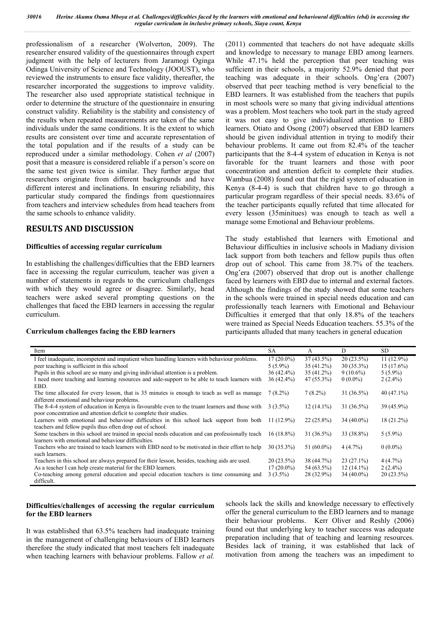professionalism of a researcher (Wolverton, 2009). The researcher ensured validity of the questionnaires through expert judgment with the help of lecturers from Jaramogi Oginga Odinga University of Science and Technology (JOOUST), who reviewed the instruments to ensure face validity, thereafter, the researcher incorporated the suggestions to improve validity. The researcher also used appropriate statistical technique in order to determine the structure of the questionnaire in ensuring construct validity. Reliability is the stability and consistency of the results when repeated measurements are taken of the same individuals under the same conditions. It is the extent to which results are consistent over time and accurate representation of the total population and if the results of a study can be reproduced under a similar methodology. Cohen *et al* (2007) posit that a measure is considered reliable if a person's score on the same test given twice is similar. They further argue that researchers originate from different backgrounds and have different interest and inclinations. In ensuring reliability, this particular study compared the findings from questionnaires from teachers and interview schedules from head teachers from the same schools to enhance validity.

# **RESULTS AND DISCUSSION**

# **Difficulties of accessing regular curriculum**

In establishing the challenges/difficulties that the EBD learners face in accessing the regular curriculum, teacher was given a number of statements in regards to the curriculum challenges with which they would agree or disagree. Similarly, head teachers were asked several prompting questions on the challenges that faced the EBD learners in accessing the regular curriculum.

### **Curriculum challenges facing the EBD learners**

(2011) commented that teachers do not have adequate skills and knowledge to necessary to manage EBD among learners. While 47.1% held the perception that peer teaching was sufficient in their schools, a majority 52.9% denied that peer teaching was adequate in their schools. Ong'era (2007) observed that peer teaching method is very beneficial to the EBD learners. It was established from the teachers that pupils in most schools were so many that giving individual attentions was a problem. Most teachers who took part in the study agreed it was not easy to give individualized attention to EBD learners. Otiato and Osong (2007) observed that EBD learners should be given individual attention in trying to modify their behaviour problems. It came out from 82.4% of the teacher participants that the 8-4-4 system of education in Kenya is not favorable for the truant learners and those with poor concentration and attention deficit to complete their studies. Wambua (2008) found out that the rigid system of education in Kenya (8-4-4) is such that children have to go through a particular program regardless of their special needs. 83.6% of the teacher participants equally refuted that time allocated for every lesson (35minitues) was enough to teach as well a manage some Emotional and Behaviour problems.

The study established that learners with Emotional and Behaviour difficulties in inclusive schools in Madiany division lack support from both teachers and fellow pupils thus often drop out of school. This came from 38.7% of the teachers. Ong'era (2007) observed that drop out is another challenge faced by learners with EBD due to internal and external factors. Although the findings of the study showed that some teachers in the schools were trained in special needs education and can professionally teach learners with Emotional and Behaviour Difficulties it emerged that that only 18.8% of the teachers were trained as Special Needs Education teachers. 55.3% of the participants alluded that many teachers in general education

| Item                                                                                                                                                                   | SA           | A             | D            | SD.           |
|------------------------------------------------------------------------------------------------------------------------------------------------------------------------|--------------|---------------|--------------|---------------|
| I feel inadequate, incompetent and impatient when handling learners with behaviour problems.                                                                           | $17(20.0\%)$ | $37(43.5\%)$  | $20(23.5\%)$ | $11(12.9\%)$  |
| peer teaching is sufficient in this school                                                                                                                             | $5(5.9\%)$   | $35(41.2\%)$  | $30(35.3\%)$ | $15(17.6\%)$  |
| Pupils in this school are so many and giving individual attention is a problem.                                                                                        | $36(42.4\%)$ | 35 (41.2%)    | $9(10.6\%)$  | $5(5.9\%)$    |
| I need more teaching and learning resources and aide-support to be able to teach learners with<br>EBD.                                                                 | $36(42.4\%)$ | 47 (55.3%)    | $0(0.0\%)$   | $2(2.4\%)$    |
| The time allocated for every lesson, that is 35 minutes is enough to teach as well as manage<br>different emotional and behaviour problems.                            | $7(8.2\%)$   | $7(8.2\%)$    | $31(36.5\%)$ | 40 $(47.1\%)$ |
| The 8-4-4 system of education in Kenya is favourable even to the truant learners and those with<br>poor concentration and attention deficit to complete their studies. | $3(3.5\%)$   | $12(14.1\%)$  | $31(36.5\%)$ | $39(45.9\%)$  |
| Learners with emotional and behaviour difficulties in this school lack support from both<br>teachers and fellow pupils thus often drop out of school.                  | $11(12.9\%)$ | $22(25.8\%)$  | $34(40.0\%)$ | $18(21.2\%)$  |
| Some teachers in this school are trained in special needs education and can professionally teach<br>learners with emotional and behaviour difficulties.                | $16(18.8\%)$ | 31 (36.5%)    | 33 (38.8%)   | $5(5.9\%)$    |
| Teachers who are trained to teach learners with EBD need to be motivated in their effort to help<br>such learners.                                                     | $30(35.3\%)$ | 51 $(60.0\%)$ | $4(4.7\%)$   | $0(0.0\%)$    |
| Teachers in this school are always prepared for their lesson, besides, teaching aids are used.                                                                         | $20(23.5\%)$ | 38 (44.7%)    | $23(27.1\%)$ | 4(4.7%)       |
| As a teacher I can help create material for the EBD learners.                                                                                                          | $17(20.0\%)$ | 54 (63.5%)    | $12(14.1\%)$ | $2(2.4\%)$    |
| Co-teaching among general education and special education teachers is time consuming and<br>difficult.                                                                 | $3(3.5\%)$   | 28 (32.9%)    | $34(40.0\%)$ | $20(23.5\%)$  |

## **Difficulties/challenges of accessing the regular curriculum for the EBD learners**

It was established that 63.5% teachers had inadequate training in the management of challenging behaviours of EBD learners therefore the study indicated that most teachers felt inadequate when teaching learners with behaviour problems. Fallow *et al.* schools lack the skills and knowledge necessary to effectively offer the general curriculum to the EBD learners and to manage their behaviour problems. Kerr Oliver and Reshly (2006) found out that underlying key to teacher success was adequate preparation including that of teaching and learning resources. Besides lack of training, it was established that lack of motivation from among the teachers was an impediment to